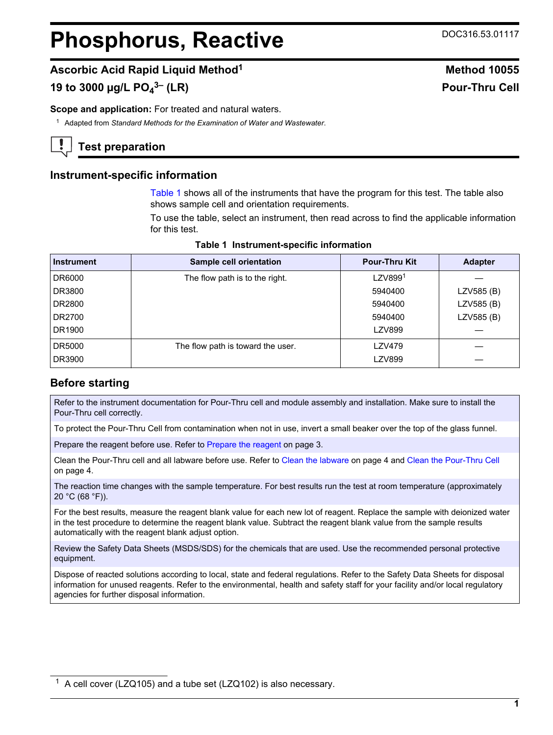# <span id="page-0-0"></span>**Phosphorus, Reactive DOC316.53.01117**

**3– (LR) Pour-Thru Cell**

# **Ascorbic Acid Rapid Liquid Method<sup>1</sup> Method 10055**

# **19 to 3000 µg/L PO<sup>4</sup>**

**Scope and application:** For treated and natural waters.

<sup>1</sup> Adapted from *Standard Methods for the Examination of Water and Wastewater*.

# **Test preparation**

## **Instrument-specific information**

Table 1 shows all of the instruments that have the program for this test. The table also shows sample cell and orientation requirements.

To use the table, select an instrument, then read across to find the applicable information for this test.

| <b>Instrument</b> | Sample cell orientation           | <b>Pour-Thru Kit</b> | <b>Adapter</b> |
|-------------------|-----------------------------------|----------------------|----------------|
| DR6000            | The flow path is to the right.    | LZV899 <sup>1</sup>  |                |
| DR3800            |                                   | 5940400              | LZV585 (B)     |
| DR2800            |                                   | 5940400              | LZV585 (B)     |
| DR2700            |                                   | 5940400              | LZV585 (B)     |
| DR1900            |                                   | <b>LZV899</b>        |                |
| DR5000            | The flow path is toward the user. | LZV479               |                |
| DR3900            |                                   | LZV899               |                |

|  |  | Table 1 Instrument-specific information |
|--|--|-----------------------------------------|
|--|--|-----------------------------------------|

# **Before starting**

Refer to the instrument documentation for Pour-Thru cell and module assembly and installation. Make sure to install the Pour-Thru cell correctly.

To protect the Pour-Thru Cell from contamination when not in use, invert a small beaker over the top of the glass funnel.

[Prepare the reagent](#page-2-0) before use. Refer to Prepare the reagent on page 3.

Clean the Pour-Thru cell and all labware before use. Refer to [Clean the labware](#page-3-0) on page 4 and [Clean the Pour-Thru Cell](#page-3-0) on page 4.

The reaction time changes with the sample temperature. For best results run the test at room temperature (approximately 20 °C (68 °F)).

For the best results, measure the reagent blank value for each new lot of reagent. Replace the sample with deionized water in the test procedure to determine the reagent blank value. Subtract the reagent blank value from the sample results automatically with the reagent blank adjust option.

Review the Safety Data Sheets (MSDS/SDS) for the chemicals that are used. Use the recommended personal protective equipment.

Dispose of reacted solutions according to local, state and federal regulations. Refer to the Safety Data Sheets for disposal information for unused reagents. Refer to the environmental, health and safety staff for your facility and/or local regulatory agencies for further disposal information.

 $1$  A cell cover (LZQ105) and a tube set (LZQ102) is also necessary.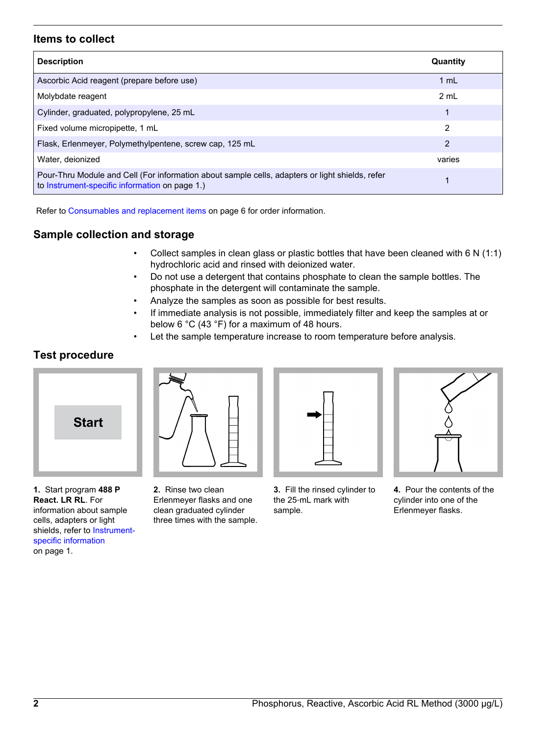### **Items to collect**

| <b>Description</b>                                                                                                                                | Quantity |
|---------------------------------------------------------------------------------------------------------------------------------------------------|----------|
| Ascorbic Acid reagent (prepare before use)                                                                                                        | 1 mL     |
| Molybdate reagent                                                                                                                                 | 2 mL     |
| Cylinder, graduated, polypropylene, 25 mL                                                                                                         | 1        |
| Fixed volume micropipette, 1 mL                                                                                                                   | 2        |
| Flask, Erlenmeyer, Polymethylpentene, screw cap, 125 mL                                                                                           | 2        |
| Water, deionized                                                                                                                                  | varies   |
| Pour-Thru Module and Cell (For information about sample cells, adapters or light shields, refer<br>to Instrument-specific information on page 1.) |          |

Refer to [Consumables and replacement items](#page-5-0) on page 6 for order information.

# **Sample collection and storage**

- Collect samples in clean glass or plastic bottles that have been cleaned with 6 N (1:1) hydrochloric acid and rinsed with deionized water.
- Do not use a detergent that contains phosphate to clean the sample bottles. The phosphate in the detergent will contaminate the sample.
- Analyze the samples as soon as possible for best results.
- If immediate analysis is not possible, immediately filter and keep the samples at or below 6 °C (43 °F) for a maximum of 48 hours.
- Let the sample temperature increase to room temperature before analysis.

# **Test procedure**



**1.** Start program **488 P React. LR RL**. For information about sample cells, adapters or light shields, refer to [Instrument](#page-0-0)[specific information](#page-0-0) on page 1.

**2.** Rinse two clean Erlenmeyer flasks and one clean graduated cylinder three times with the sample.

|--|

**3.** Fill the rinsed cylinder to the 25‑mL mark with sample.



**4.** Pour the contents of the cylinder into one of the Erlenmeyer flasks.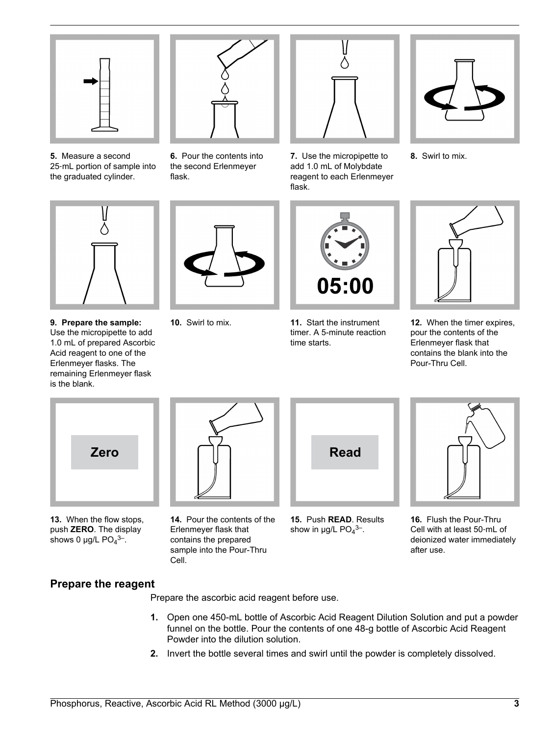<span id="page-2-0"></span>

**5.** Measure a second 25‑mL portion of sample into the graduated cylinder.



**6.** Pour the contents into the second Erlenmeyer flask.



**7.** Use the micropipette to add 1.0 mL of Molybdate reagent to each Erlenmeyer flask.



**8.** Swirl to mix.



**9. Prepare the sample:** Use the micropipette to add 1.0 mL of prepared Ascorbic Acid reagent to one of the Erlenmeyer flasks. The remaining Erlenmeyer flask is the blank.





**10.** Swirl to mix. **11.** Start the instrument timer. A 5-minute reaction time starts.



**12.** When the timer expires, pour the contents of the Erlenmeyer flask that contains the blank into the Pour-Thru Cell.



**13.** When the flow stops, push **ZERO**. The display shows 0  $\mu$ g/L PO<sub>4</sub><sup>3-</sup>.

**14.** Pour the contents of the Erlenmeyer flask that contains the prepared sample into the Pour-Thru Cell.



**15.** Push **READ**. Results show in  $\mu$ g/L PO<sub>4</sub><sup>3-</sup>.



**16.** Flush the Pour-Thru Cell with at least 50‑mL of deionized water immediately after use.

# **Prepare the reagent**

Prepare the ascorbic acid reagent before use.

- **1.** Open one 450-mL bottle of Ascorbic Acid Reagent Dilution Solution and put a powder funnel on the bottle. Pour the contents of one 48-g bottle of Ascorbic Acid Reagent Powder into the dilution solution.
- **2.** Invert the bottle several times and swirl until the powder is completely dissolved.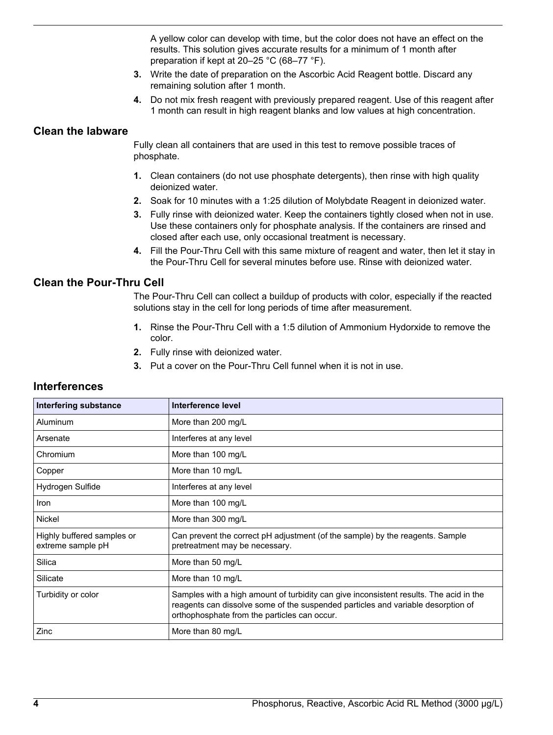A yellow color can develop with time, but the color does not have an effect on the results. This solution gives accurate results for a minimum of 1 month after preparation if kept at 20–25 °C (68–77 °F).

- **3.** Write the date of preparation on the Ascorbic Acid Reagent bottle. Discard any remaining solution after 1 month.
- **4.** Do not mix fresh reagent with previously prepared reagent. Use of this reagent after 1 month can result in high reagent blanks and low values at high concentration.

#### <span id="page-3-0"></span>**Clean the labware**

Fully clean all containers that are used in this test to remove possible traces of phosphate.

- **1.** Clean containers (do not use phosphate detergents), then rinse with high quality deionized water.
- **2.** Soak for 10 minutes with a 1:25 dilution of Molybdate Reagent in deionized water.
- **3.** Fully rinse with deionized water. Keep the containers tightly closed when not in use. Use these containers only for phosphate analysis. If the containers are rinsed and closed after each use, only occasional treatment is necessary.
- **4.** Fill the Pour-Thru Cell with this same mixture of reagent and water, then let it stay in the Pour-Thru Cell for several minutes before use. Rinse with deionized water.

#### **Clean the Pour-Thru Cell**

The Pour-Thru Cell can collect a buildup of products with color, especially if the reacted solutions stay in the cell for long periods of time after measurement.

- **1.** Rinse the Pour-Thru Cell with a 1:5 dilution of Ammonium Hydorxide to remove the color.
- **2.** Fully rinse with deionized water.
- **3.** Put a cover on the Pour-Thru Cell funnel when it is not in use.

| <b>Interfering substance</b>                    | Interference level                                                                                                                                                                                                         |
|-------------------------------------------------|----------------------------------------------------------------------------------------------------------------------------------------------------------------------------------------------------------------------------|
| Aluminum                                        | More than 200 mg/L                                                                                                                                                                                                         |
| Arsenate                                        | Interferes at any level                                                                                                                                                                                                    |
| Chromium                                        | More than 100 mg/L                                                                                                                                                                                                         |
| Copper                                          | More than 10 mg/L                                                                                                                                                                                                          |
| Hydrogen Sulfide                                | Interferes at any level                                                                                                                                                                                                    |
| Iron                                            | More than 100 mg/L                                                                                                                                                                                                         |
| <b>Nickel</b>                                   | More than 300 mg/L                                                                                                                                                                                                         |
| Highly buffered samples or<br>extreme sample pH | Can prevent the correct pH adjustment (of the sample) by the reagents. Sample<br>pretreatment may be necessary.                                                                                                            |
| Silica                                          | More than 50 mg/L                                                                                                                                                                                                          |
| Silicate                                        | More than 10 mg/L                                                                                                                                                                                                          |
| Turbidity or color                              | Samples with a high amount of turbidity can give inconsistent results. The acid in the<br>reagents can dissolve some of the suspended particles and variable desorption of<br>orthophosphate from the particles can occur. |
| Zinc                                            | More than 80 mg/L                                                                                                                                                                                                          |

#### **Interferences**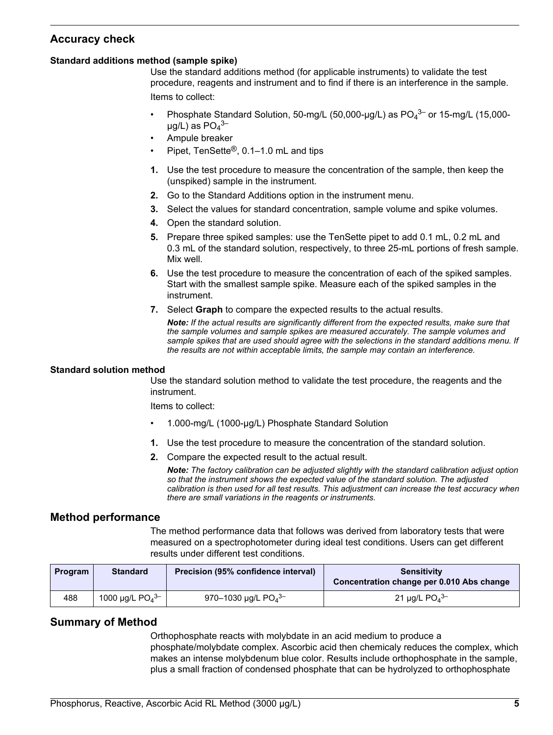# **Accuracy check**

#### **Standard additions method (sample spike)**

Use the standard additions method (for applicable instruments) to validate the test procedure, reagents and instrument and to find if there is an interference in the sample. Items to collect:

- Phosphate Standard Solution, 50-mg/L (50,000-µg/L) as  $PO<sub>4</sub>^{3-}$  or 15-mg/L (15,000- $\mu$ g/L) as PO $_4$ <sup>3–</sup>
- Ampule breaker
- Pipet, TenSette®, 0.1–1.0 mL and tips
- **1.** Use the test procedure to measure the concentration of the sample, then keep the (unspiked) sample in the instrument.
- **2.** Go to the Standard Additions option in the instrument menu.
- **3.** Select the values for standard concentration, sample volume and spike volumes.
- **4.** Open the standard solution.
- **5.** Prepare three spiked samples: use the TenSette pipet to add 0.1 mL, 0.2 mL and 0.3 mL of the standard solution, respectively, to three 25-mL portions of fresh sample. Mix well.
- **6.** Use the test procedure to measure the concentration of each of the spiked samples. Start with the smallest sample spike. Measure each of the spiked samples in the instrument.
- **7.** Select **Graph** to compare the expected results to the actual results.

*Note: If the actual results are significantly different from the expected results, make sure that the sample volumes and sample spikes are measured accurately. The sample volumes and sample spikes that are used should agree with the selections in the standard additions menu. If the results are not within acceptable limits, the sample may contain an interference.*

#### **Standard solution method**

Use the standard solution method to validate the test procedure, the reagents and the instrument.

Items to collect:

- 1.000-mg/L (1000-µg/L) Phosphate Standard Solution
- **1.** Use the test procedure to measure the concentration of the standard solution.
- **2.** Compare the expected result to the actual result.

*Note: The factory calibration can be adjusted slightly with the standard calibration adjust option so that the instrument shows the expected value of the standard solution. The adjusted calibration is then used for all test results. This adjustment can increase the test accuracy when there are small variations in the reagents or instruments.*

#### **Method performance**

The method performance data that follows was derived from laboratory tests that were measured on a spectrophotometer during ideal test conditions. Users can get different results under different test conditions.

| Program | <b>Standard</b>      | Precision (95% confidence interval) | <b>Sensitivity</b><br>Concentration change per 0.010 Abs change |  |
|---------|----------------------|-------------------------------------|-----------------------------------------------------------------|--|
| 488     | 1000 µg/L $PO4^{3-}$ | 970-1030 µg/L $PO4^{3-}$            | 21 µg/L $PO4$ <sup>3-</sup>                                     |  |

#### **Summary of Method**

Orthophosphate reacts with molybdate in an acid medium to produce a phosphate/molybdate complex. Ascorbic acid then chemicaly reduces the complex, which makes an intense molybdenum blue color. Results include orthophosphate in the sample, plus a small fraction of condensed phosphate that can be hydrolyzed to orthophosphate